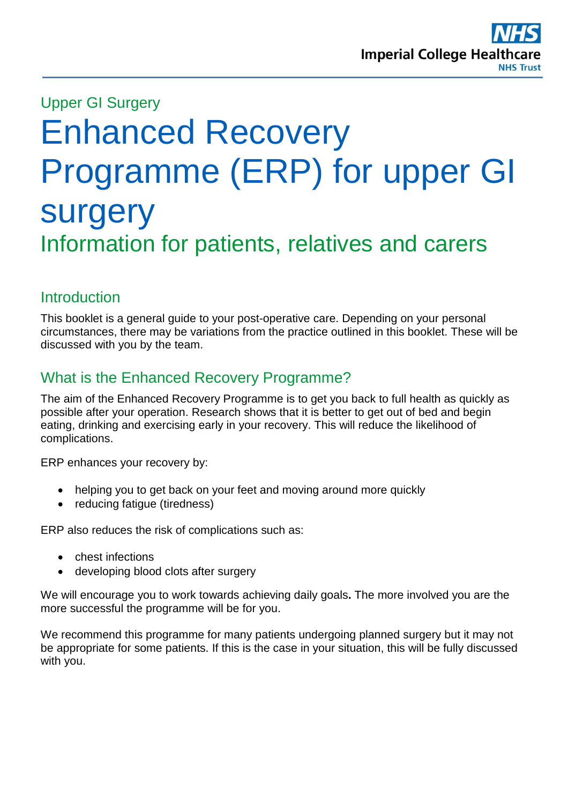

# Upper GI Surgery Enhanced Recovery Programme (ERP) for upper GI surgery Information for patients, relatives and carers

# **Introduction**

This booklet is a general guide to your post-operative care. Depending on your personal circumstances, there may be variations from the practice outlined in this booklet. These will be discussed with you by the team.

# What is the Enhanced Recovery Programme?

The aim of the Enhanced Recovery Programme is to get you back to full health as quickly as possible after your operation. Research shows that it is better to get out of bed and begin eating, drinking and exercising early in your recovery. This will reduce the likelihood of complications.

ERP enhances your recovery by:

- helping you to get back on your feet and moving around more quickly
- reducing fatigue (tiredness)

ERP also reduces the risk of complications such as:

- chest infections
- developing blood clots after surgery

We will encourage you to work towards achieving daily goals**.** The more involved you are the more successful the programme will be for you.

We recommend this programme for many patients undergoing planned surgery but it may not be appropriate for some patients. If this is the case in your situation, this will be fully discussed with you.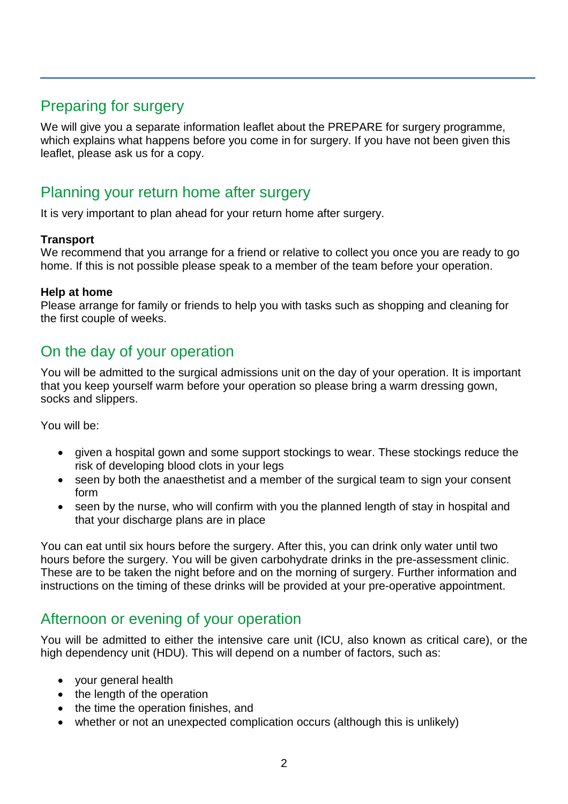# Preparing for surgery

We will give you a separate information leaflet about the PREPARE for surgery programme, which explains what happens before you come in for surgery. If you have not been given this leaflet, please ask us for a copy.

# Planning your return home after surgery

It is very important to plan ahead for your return home after surgery.

#### **Transport**

We recommend that you arrange for a friend or relative to collect you once you are ready to go home. If this is not possible please speak to a member of the team before your operation.

#### **Help at home**

Please arrange for family or friends to help you with tasks such as shopping and cleaning for the first couple of weeks.

# On the day of your operation

You will be admitted to the surgical admissions unit on the day of your operation. It is important that you keep yourself warm before your operation so please bring a warm dressing gown, socks and slippers.

You will be:

- given a hospital gown and some support stockings to wear. These stockings reduce the risk of developing blood clots in your legs
- seen by both the anaesthetist and a member of the surgical team to sign your consent form
- seen by the nurse, who will confirm with you the planned length of stay in hospital and that your discharge plans are in place

You can eat until six hours before the surgery. After this, you can drink only water until two hours before the surgery. You will be given carbohydrate drinks in the pre-assessment clinic. These are to be taken the night before and on the morning of surgery. Further information and instructions on the timing of these drinks will be provided at your pre-operative appointment.

# Afternoon or evening of your operation

You will be admitted to either the intensive care unit (ICU, also known as critical care), or the high dependency unit (HDU). This will depend on a number of factors, such as:

- your general health
- the length of the operation
- the time the operation finishes, and
- whether or not an unexpected complication occurs (although this is unlikely)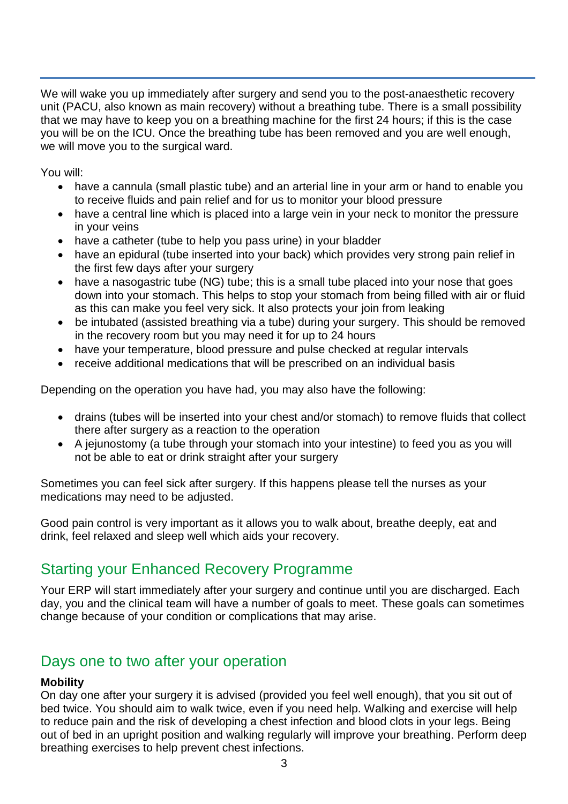We will wake you up immediately after surgery and send you to the post-anaesthetic recovery unit (PACU, also known as main recovery) without a breathing tube. There is a small possibility that we may have to keep you on a breathing machine for the first 24 hours; if this is the case you will be on the ICU. Once the breathing tube has been removed and you are well enough, we will move you to the surgical ward.

You will:

- have a cannula (small plastic tube) and an arterial line in your arm or hand to enable you to receive fluids and pain relief and for us to monitor your blood pressure
- have a central line which is placed into a large vein in your neck to monitor the pressure in your veins
- have a catheter (tube to help you pass urine) in your bladder
- have an epidural (tube inserted into your back) which provides very strong pain relief in the first few days after your surgery
- have a nasogastric tube (NG) tube; this is a small tube placed into your nose that goes down into your stomach. This helps to stop your stomach from being filled with air or fluid as this can make you feel very sick. It also protects your join from leaking
- be intubated (assisted breathing via a tube) during your surgery. This should be removed in the recovery room but you may need it for up to 24 hours
- have your temperature, blood pressure and pulse checked at regular intervals
- receive additional medications that will be prescribed on an individual basis

Depending on the operation you have had, you may also have the following:

- drains (tubes will be inserted into your chest and/or stomach) to remove fluids that collect there after surgery as a reaction to the operation
- A jejunostomy (a tube through your stomach into your intestine) to feed you as you will not be able to eat or drink straight after your surgery

Sometimes you can feel sick after surgery. If this happens please tell the nurses as your medications may need to be adjusted.

Good pain control is very important as it allows you to walk about, breathe deeply, eat and drink, feel relaxed and sleep well which aids your recovery.

# Starting your Enhanced Recovery Programme

Your ERP will start immediately after your surgery and continue until you are discharged. Each day, you and the clinical team will have a number of goals to meet. These goals can sometimes change because of your condition or complications that may arise.

# Days one to two after your operation

#### **Mobility**

On day one after your surgery it is advised (provided you feel well enough), that you sit out of bed twice. You should aim to walk twice, even if you need help. Walking and exercise will help to reduce pain and the risk of developing a chest infection and blood clots in your legs. Being out of bed in an upright position and walking regularly will improve your breathing. Perform deep breathing exercises to help prevent chest infections.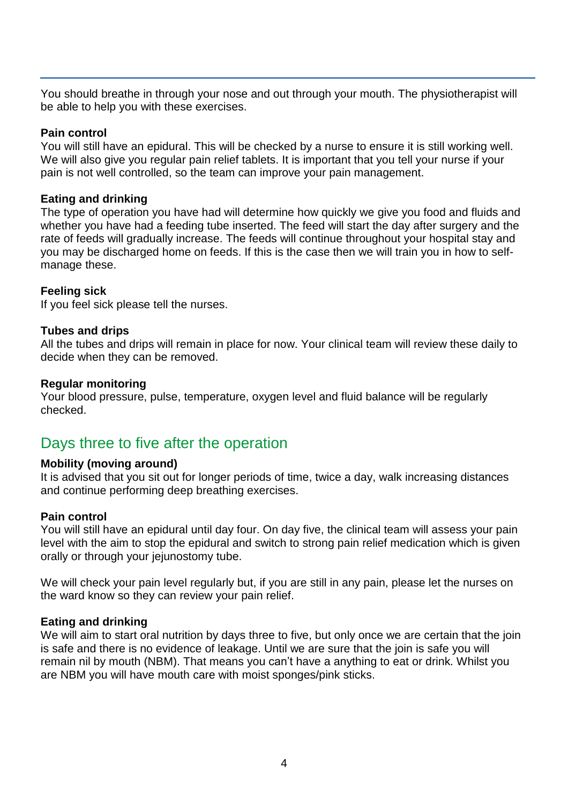You should breathe in through your nose and out through your mouth. The physiotherapist will be able to help you with these exercises.

#### **Pain control**

You will still have an epidural. This will be checked by a nurse to ensure it is still working well. We will also give you regular pain relief tablets. It is important that you tell your nurse if your pain is not well controlled, so the team can improve your pain management.

#### **Eating and drinking**

The type of operation you have had will determine how quickly we give you food and fluids and whether you have had a feeding tube inserted. The feed will start the day after surgery and the rate of feeds will gradually increase. The feeds will continue throughout your hospital stay and you may be discharged home on feeds. If this is the case then we will train you in how to selfmanage these.

#### **Feeling sick**

If you feel sick please tell the nurses.

#### **Tubes and drips**

All the tubes and drips will remain in place for now. Your clinical team will review these daily to decide when they can be removed.

#### **Regular monitoring**

Your blood pressure, pulse, temperature, oxygen level and fluid balance will be regularly checked.

# Days three to five after the operation

#### **Mobility (moving around)**

It is advised that you sit out for longer periods of time, twice a day, walk increasing distances and continue performing deep breathing exercises.

#### **Pain control**

You will still have an epidural until day four. On day five, the clinical team will assess your pain level with the aim to stop the epidural and switch to strong pain relief medication which is given orally or through your jejunostomy tube.

We will check your pain level regularly but, if you are still in any pain, please let the nurses on the ward know so they can review your pain relief.

#### **Eating and drinking**

We will aim to start oral nutrition by days three to five, but only once we are certain that the join is safe and there is no evidence of leakage. Until we are sure that the join is safe you will remain nil by mouth (NBM). That means you can't have a anything to eat or drink. Whilst you are NBM you will have mouth care with moist sponges/pink sticks.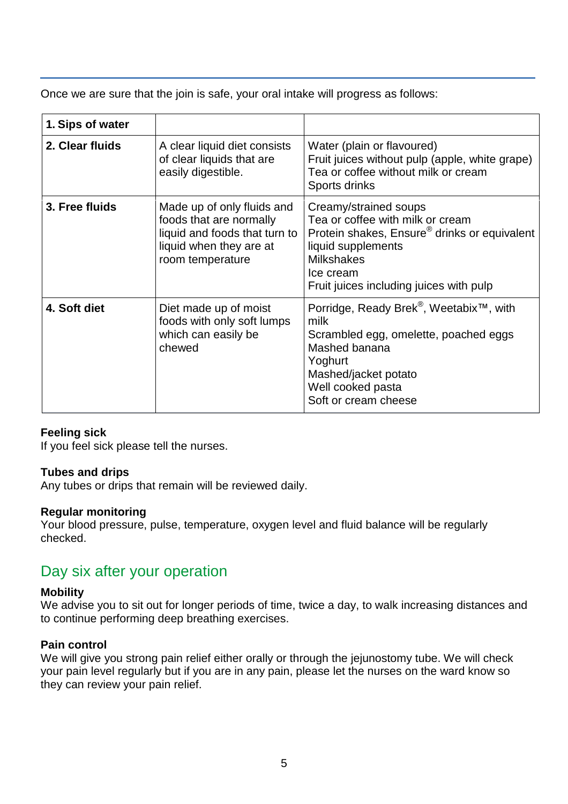Once we are sure that the join is safe, your oral intake will progress as follows:

| 1. Sips of water |                                                                                                                                       |                                                                                                                                                                                                                          |
|------------------|---------------------------------------------------------------------------------------------------------------------------------------|--------------------------------------------------------------------------------------------------------------------------------------------------------------------------------------------------------------------------|
| 2. Clear fluids  | A clear liquid diet consists<br>of clear liquids that are<br>easily digestible.                                                       | Water (plain or flavoured)<br>Fruit juices without pulp (apple, white grape)<br>Tea or coffee without milk or cream<br>Sports drinks                                                                                     |
| 3. Free fluids   | Made up of only fluids and<br>foods that are normally<br>liquid and foods that turn to<br>liquid when they are at<br>room temperature | Creamy/strained soups<br>Tea or coffee with milk or cream<br>Protein shakes, Ensure <sup>®</sup> drinks or equivalent<br>liquid supplements<br><b>Milkshakes</b><br>Ice cream<br>Fruit juices including juices with pulp |
| 4. Soft diet     | Diet made up of moist<br>foods with only soft lumps<br>which can easily be<br>chewed                                                  | Porridge, Ready Brek <sup>®</sup> , Weetabix <sup>™</sup> , with<br>milk<br>Scrambled egg, omelette, poached eggs<br>Mashed banana<br>Yoghurt<br>Mashed/jacket potato<br>Well cooked pasta<br>Soft or cream cheese       |

#### **Feeling sick**

If you feel sick please tell the nurses.

#### **Tubes and drips**

Any tubes or drips that remain will be reviewed daily.

#### **Regular monitoring**

Your blood pressure, pulse, temperature, oxygen level and fluid balance will be regularly checked.

# Day six after your operation

#### **Mobility**

We advise you to sit out for longer periods of time, twice a day, to walk increasing distances and to continue performing deep breathing exercises.

#### **Pain control**

We will give you strong pain relief either orally or through the jejunostomy tube. We will check your pain level regularly but if you are in any pain, please let the nurses on the ward know so they can review your pain relief.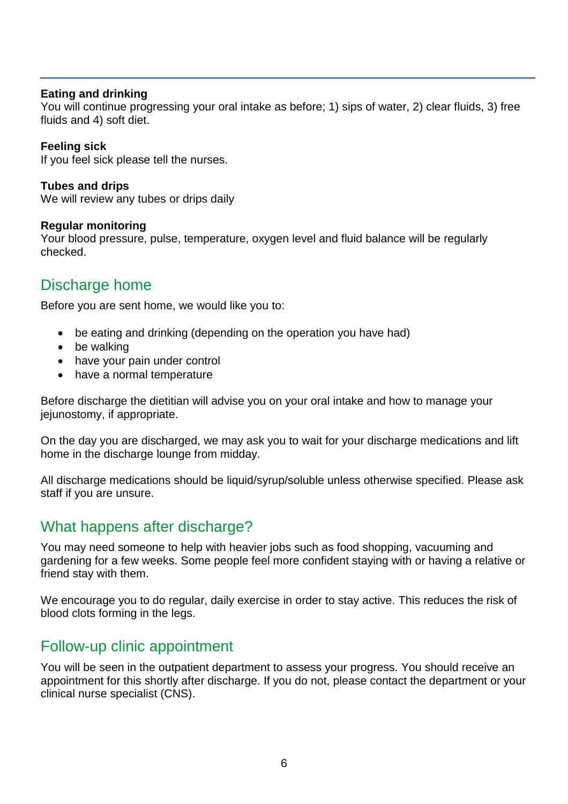#### **Eating and drinking**

You will continue progressing your oral intake as before; 1) sips of water, 2) clear fluids, 3) free fluids and 4) soft diet.

#### **Feeling sick**

If you feel sick please tell the nurses.

**Tubes and drips** We will review any tubes or drips daily

#### **Regular monitoring**

Your blood pressure, pulse, temperature, oxygen level and fluid balance will be regularly checked.

# Discharge home

Before you are sent home, we would like you to:

- be eating and drinking (depending on the operation you have had)
- be walking
- have your pain under control
- have a normal temperature

Before discharge the dietitian will advise you on your oral intake and how to manage your jejunostomy, if appropriate.

On the day you are discharged, we may ask you to wait for your discharge medications and lift home in the discharge lounge from midday.

All discharge medications should be liquid/syrup/soluble unless otherwise specified. Please ask staff if you are unsure.

# What happens after discharge?

You may need someone to help with heavier jobs such as food shopping, vacuuming and gardening for a few weeks. Some people feel more confident staying with or having a relative or friend stay with them.

We encourage you to do regular, daily exercise in order to stay active. This reduces the risk of blood clots forming in the legs.

### Follow-up clinic appointment

You will be seen in the outpatient department to assess your progress. You should receive an appointment for this shortly after discharge. If you do not, please contact the department or your clinical nurse specialist (CNS).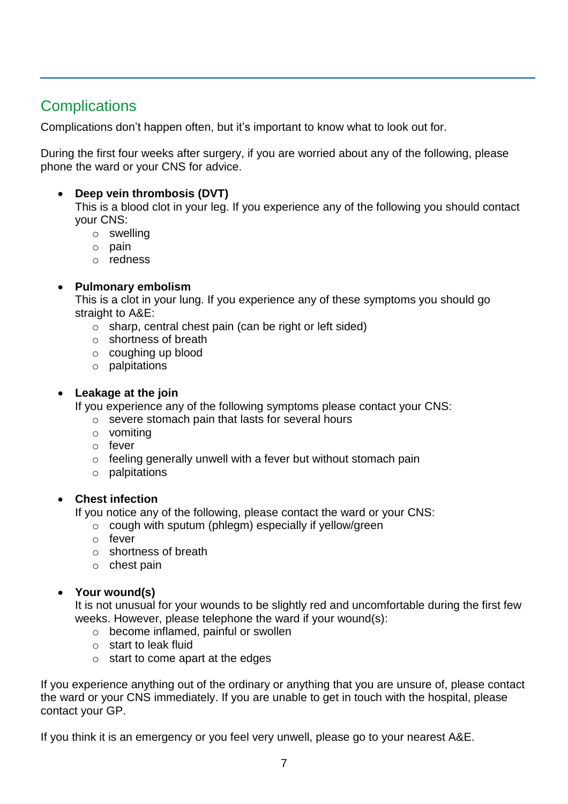# **Complications**

Complications don't happen often, but it's important to know what to look out for.

During the first four weeks after surgery, if you are worried about any of the following, please phone the ward or your CNS for advice.

#### **Deep vein thrombosis (DVT)**

This is a blood clot in your leg. If you experience any of the following you should contact your CNS:

- o swelling
- o pain
- o redness

#### **Pulmonary embolism**

This is a clot in your lung. If you experience any of these symptoms you should go straight to A&E:

- o sharp, central chest pain (can be right or left sided)
- o shortness of breath
- o coughing up blood
- o palpitations

#### **Leakage at the join**

If you experience any of the following symptoms please contact your CNS:

- o severe stomach pain that lasts for several hours
- o vomiting
- o fever
- $\circ$  feeling generally unwell with a fever but without stomach pain
- o palpitations

#### **Chest infection**

If you notice any of the following, please contact the ward or your CNS:

- o cough with sputum (phlegm) especially if yellow/green
- o fever
- o shortness of breath
- o chest pain

#### **Your wound(s)**

It is not unusual for your wounds to be slightly red and uncomfortable during the first few weeks. However, please telephone the ward if your wound(s):

- o become inflamed, painful or swollen
- o start to leak fluid
- $\circ$  start to come apart at the edges

If you experience anything out of the ordinary or anything that you are unsure of, please contact the ward or your CNS immediately. If you are unable to get in touch with the hospital, please contact your GP.

If you think it is an emergency or you feel very unwell, please go to your nearest A&E.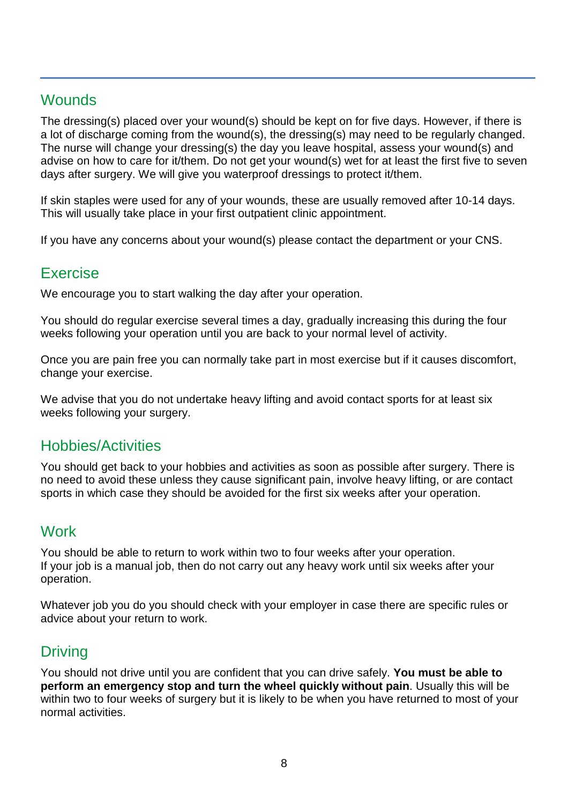# **Wounds**

The dressing(s) placed over your wound(s) should be kept on for five days. However, if there is a lot of discharge coming from the wound(s), the dressing(s) may need to be regularly changed. The nurse will change your dressing(s) the day you leave hospital, assess your wound(s) and advise on how to care for it/them. Do not get your wound(s) wet for at least the first five to seven days after surgery. We will give you waterproof dressings to protect it/them.

If skin staples were used for any of your wounds, these are usually removed after 10-14 days. This will usually take place in your first outpatient clinic appointment.

If you have any concerns about your wound(s) please contact the department or your CNS.

# Exercise

We encourage you to start walking the day after your operation.

You should do regular exercise several times a day, gradually increasing this during the four weeks following your operation until you are back to your normal level of activity.

Once you are pain free you can normally take part in most exercise but if it causes discomfort, change your exercise.

We advise that you do not undertake heavy lifting and avoid contact sports for at least six weeks following your surgery.

# Hobbies/Activities

You should get back to your hobbies and activities as soon as possible after surgery. There is no need to avoid these unless they cause significant pain, involve heavy lifting, or are contact sports in which case they should be avoided for the first six weeks after your operation.

# **Work**

You should be able to return to work within two to four weeks after your operation. If your job is a manual job, then do not carry out any heavy work until six weeks after your operation.

Whatever job you do you should check with your employer in case there are specific rules or advice about your return to work.

# Driving

You should not drive until you are confident that you can drive safely. **You must be able to perform an emergency stop and turn the wheel quickly without pain**. Usually this will be within two to four weeks of surgery but it is likely to be when you have returned to most of your normal activities.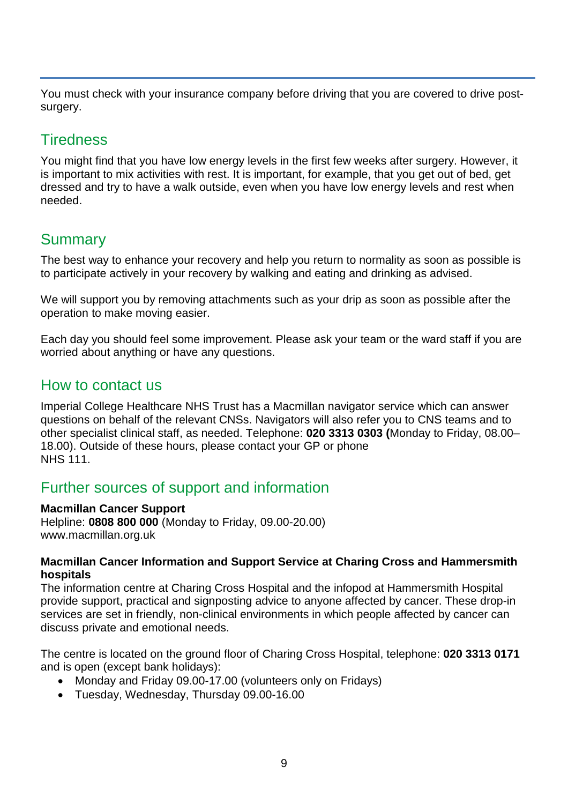You must check with your insurance company before driving that you are covered to drive postsurgery.

# **Tiredness**

You might find that you have low energy levels in the first few weeks after surgery. However, it is important to mix activities with rest. It is important, for example, that you get out of bed, get dressed and try to have a walk outside, even when you have low energy levels and rest when needed.

# **Summary**

The best way to enhance your recovery and help you return to normality as soon as possible is to participate actively in your recovery by walking and eating and drinking as advised.

We will support you by removing attachments such as your drip as soon as possible after the operation to make moving easier.

Each day you should feel some improvement. Please ask your team or the ward staff if you are worried about anything or have any questions.

# How to contact us

Imperial College Healthcare NHS Trust has a Macmillan navigator service which can answer questions on behalf of the relevant CNSs. Navigators will also refer you to CNS teams and to other specialist clinical staff, as needed. Telephone: **020 3313 0303 (**Monday to Friday, 08.00– 18.00). Outside of these hours, please contact your GP or phone NHS 111.

# Further sources of support and information

#### **Macmillan Cancer Support**

Helpline: **0808 800 000** (Monday to Friday, 09.00-20.00) www.macmillan.org.uk

#### **Macmillan Cancer Information and Support Service at Charing Cross and Hammersmith hospitals**

The information centre at Charing Cross Hospital and the infopod at Hammersmith Hospital provide support, practical and signposting advice to anyone affected by cancer. These drop-in services are set in friendly, non-clinical environments in which people affected by cancer can discuss private and emotional needs.

The centre is located on the ground floor of Charing Cross Hospital, telephone: **020 3313 0171** and is open (except bank holidays):

- Monday and Friday 09.00-17.00 (volunteers only on Fridays)
- Tuesday, Wednesday, Thursday 09.00-16.00